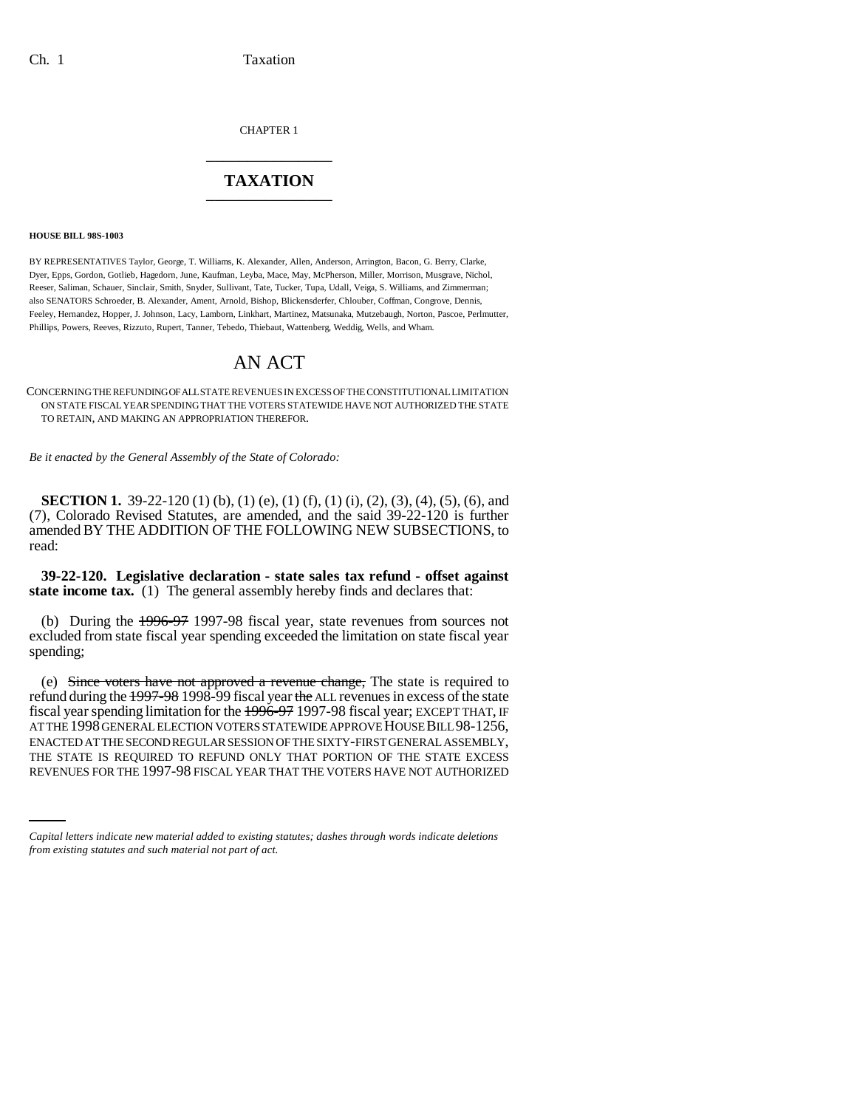CHAPTER 1 \_\_\_\_\_\_\_\_\_\_\_\_\_\_\_

# **TAXATION** \_\_\_\_\_\_\_\_\_\_\_\_\_\_\_

#### **HOUSE BILL 98S-1003**

BY REPRESENTATIVES Taylor, George, T. Williams, K. Alexander, Allen, Anderson, Arrington, Bacon, G. Berry, Clarke, Dyer, Epps, Gordon, Gotlieb, Hagedorn, June, Kaufman, Leyba, Mace, May, McPherson, Miller, Morrison, Musgrave, Nichol, Reeser, Saliman, Schauer, Sinclair, Smith, Snyder, Sullivant, Tate, Tucker, Tupa, Udall, Veiga, S. Williams, and Zimmerman; also SENATORS Schroeder, B. Alexander, Ament, Arnold, Bishop, Blickensderfer, Chlouber, Coffman, Congrove, Dennis, Feeley, Hernandez, Hopper, J. Johnson, Lacy, Lamborn, Linkhart, Martinez, Matsunaka, Mutzebaugh, Norton, Pascoe, Perlmutter, Phillips, Powers, Reeves, Rizzuto, Rupert, Tanner, Tebedo, Thiebaut, Wattenberg, Weddig, Wells, and Wham.

# AN ACT

CONCERNING THE REFUNDING OF ALL STATE REVENUES IN EXCESS OF THE CONSTITUTIONAL LIMITATION ON STATE FISCAL YEAR SPENDING THAT THE VOTERS STATEWIDE HAVE NOT AUTHORIZED THE STATE TO RETAIN, AND MAKING AN APPROPRIATION THEREFOR.

*Be it enacted by the General Assembly of the State of Colorado:*

**SECTION 1.** 39-22-120 (1) (b), (1) (e), (1) (f), (1) (i), (2), (3), (4), (5), (6), and (7), Colorado Revised Statutes, are amended, and the said 39-22-120 is further amended BY THE ADDITION OF THE FOLLOWING NEW SUBSECTIONS, to read:

**39-22-120. Legislative declaration - state sales tax refund - offset against** state income tax. (1) The general assembly hereby finds and declares that:

(b) During the 1996-97 1997-98 fiscal year, state revenues from sources not excluded from state fiscal year spending exceeded the limitation on state fiscal year spending;

ENACTED ATTHE SECOND REGULAR SESSION OF THE SIXTY-FIRST GENERAL ASSEMBLY,<br>THE STATE IS REQUIRED TO REFUND ONLY THAT PORTION OF THE STATE EXCESS (e) Since voters have not approved a revenue change, The state is required to refund during the 1997-98 1998-99 fiscal year the ALL revenues in excess of the state fiscal year spending limitation for the 1996-97 1997-98 fiscal year; EXCEPT THAT, IF AT THE 1998 GENERAL ELECTION VOTERS STATEWIDE APPROVE HOUSE BILL 98-1256, ENACTED AT THE SECOND REGULAR SESSION OF THE SIXTY-FIRST GENERAL ASSEMBLY, REVENUES FOR THE 1997-98 FISCAL YEAR THAT THE VOTERS HAVE NOT AUTHORIZED

*Capital letters indicate new material added to existing statutes; dashes through words indicate deletions from existing statutes and such material not part of act.*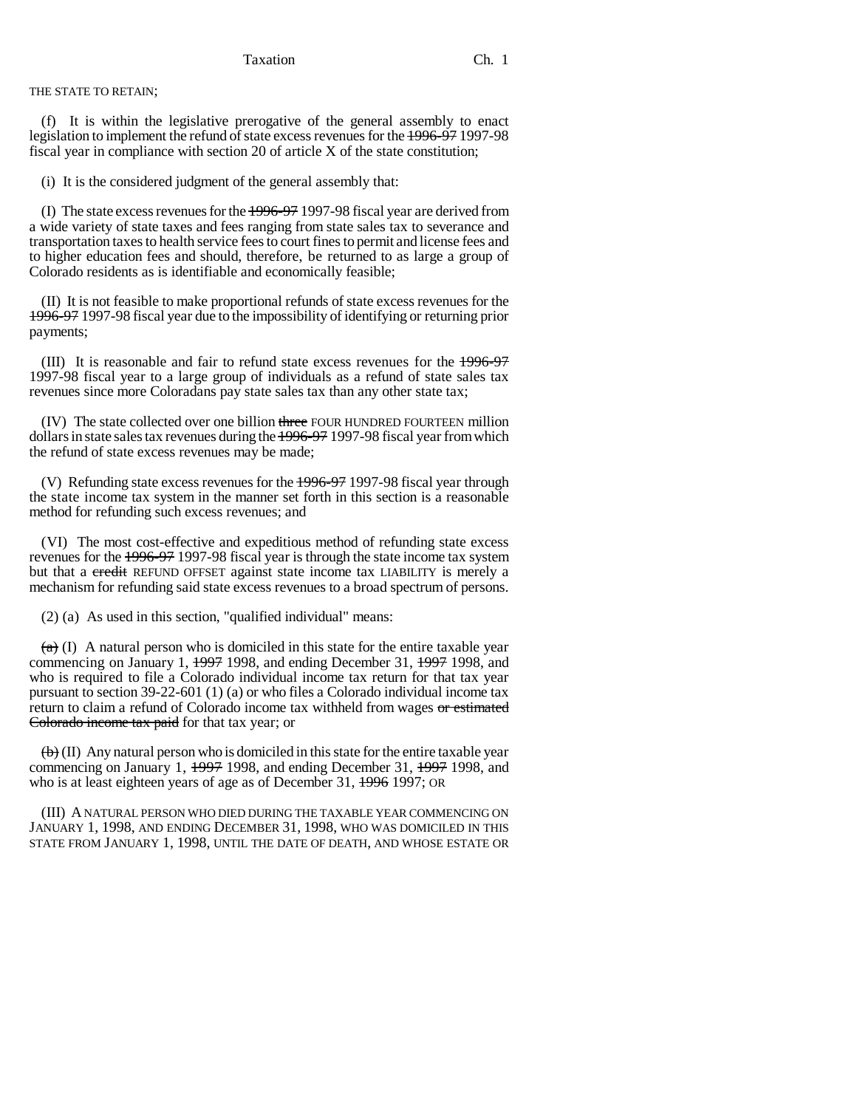THE STATE TO RETAIN;

(f) It is within the legislative prerogative of the general assembly to enact legislation to implement the refund of state excess revenues for the 1996-97 1997-98 fiscal year in compliance with section 20 of article X of the state constitution;

(i) It is the considered judgment of the general assembly that:

(I) The state excess revenues for the 1996-97 1997-98 fiscal year are derived from a wide variety of state taxes and fees ranging from state sales tax to severance and transportation taxes to health service fees to court fines to permit and license fees and to higher education fees and should, therefore, be returned to as large a group of Colorado residents as is identifiable and economically feasible;

(II) It is not feasible to make proportional refunds of state excess revenues for the 1996-97 1997-98 fiscal year due to the impossibility of identifying or returning prior payments;

(III) It is reasonable and fair to refund state excess revenues for the 1996-97 1997-98 fiscal year to a large group of individuals as a refund of state sales tax revenues since more Coloradans pay state sales tax than any other state tax;

(IV) The state collected over one billion three FOUR HUNDRED FOURTEEN million dollars in state sales tax revenues during the 1996-97 1997-98 fiscal year from which the refund of state excess revenues may be made;

(V) Refunding state excess revenues for the 1996-97 1997-98 fiscal year through the state income tax system in the manner set forth in this section is a reasonable method for refunding such excess revenues; and

(VI) The most cost-effective and expeditious method of refunding state excess revenues for the 1996-97 1997-98 fiscal year is through the state income tax system but that a credit REFUND OFFSET against state income tax LIABILITY is merely a mechanism for refunding said state excess revenues to a broad spectrum of persons.

(2) (a) As used in this section, "qualified individual" means:

 $(a)$  (I) A natural person who is domiciled in this state for the entire taxable year commencing on January 1, 1997 1998, and ending December 31, 1997 1998, and who is required to file a Colorado individual income tax return for that tax year pursuant to section 39-22-601 (1) (a) or who files a Colorado individual income tax return to claim a refund of Colorado income tax withheld from wages or estimated Colorado income tax paid for that tax year; or

 $\left(\frac{b}{b}\right)$  (II) Any natural person who is domiciled in this state for the entire taxable year commencing on January 1, 1997 1998, and ending December 31, 1997 1998, and who is at least eighteen years of age as of December 31,  $\frac{1996}{1997}$ ; OR

(III) A NATURAL PERSON WHO DIED DURING THE TAXABLE YEAR COMMENCING ON JANUARY 1, 1998, AND ENDING DECEMBER 31, 1998, WHO WAS DOMICILED IN THIS STATE FROM JANUARY 1, 1998, UNTIL THE DATE OF DEATH, AND WHOSE ESTATE OR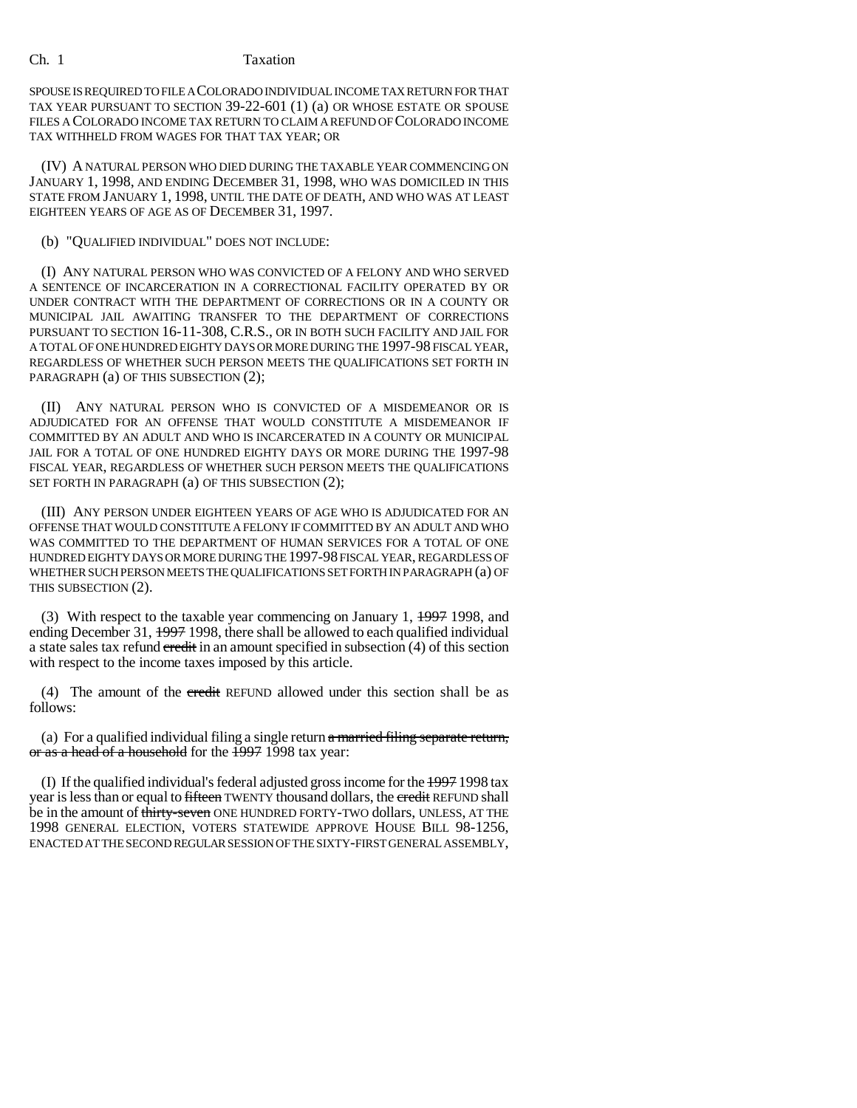SPOUSE IS REQUIRED TO FILE A COLORADO INDIVIDUAL INCOME TAX RETURN FOR THAT TAX YEAR PURSUANT TO SECTION 39-22-601 (1) (a) OR WHOSE ESTATE OR SPOUSE FILES A COLORADO INCOME TAX RETURN TO CLAIM A REFUND OF COLORADO INCOME TAX WITHHELD FROM WAGES FOR THAT TAX YEAR; OR

(IV) A NATURAL PERSON WHO DIED DURING THE TAXABLE YEAR COMMENCING ON JANUARY 1, 1998, AND ENDING DECEMBER 31, 1998, WHO WAS DOMICILED IN THIS STATE FROM JANUARY 1, 1998, UNTIL THE DATE OF DEATH, AND WHO WAS AT LEAST EIGHTEEN YEARS OF AGE AS OF DECEMBER 31, 1997.

## (b) "QUALIFIED INDIVIDUAL" DOES NOT INCLUDE:

(I) ANY NATURAL PERSON WHO WAS CONVICTED OF A FELONY AND WHO SERVED A SENTENCE OF INCARCERATION IN A CORRECTIONAL FACILITY OPERATED BY OR UNDER CONTRACT WITH THE DEPARTMENT OF CORRECTIONS OR IN A COUNTY OR MUNICIPAL JAIL AWAITING TRANSFER TO THE DEPARTMENT OF CORRECTIONS PURSUANT TO SECTION 16-11-308, C.R.S., OR IN BOTH SUCH FACILITY AND JAIL FOR A TOTAL OF ONE HUNDRED EIGHTY DAYS OR MORE DURING THE 1997-98 FISCAL YEAR, REGARDLESS OF WHETHER SUCH PERSON MEETS THE QUALIFICATIONS SET FORTH IN PARAGRAPH (a) OF THIS SUBSECTION (2);

(II) ANY NATURAL PERSON WHO IS CONVICTED OF A MISDEMEANOR OR IS ADJUDICATED FOR AN OFFENSE THAT WOULD CONSTITUTE A MISDEMEANOR IF COMMITTED BY AN ADULT AND WHO IS INCARCERATED IN A COUNTY OR MUNICIPAL JAIL FOR A TOTAL OF ONE HUNDRED EIGHTY DAYS OR MORE DURING THE 1997-98 FISCAL YEAR, REGARDLESS OF WHETHER SUCH PERSON MEETS THE QUALIFICATIONS SET FORTH IN PARAGRAPH (a) OF THIS SUBSECTION (2);

(III) ANY PERSON UNDER EIGHTEEN YEARS OF AGE WHO IS ADJUDICATED FOR AN OFFENSE THAT WOULD CONSTITUTE A FELONY IF COMMITTED BY AN ADULT AND WHO WAS COMMITTED TO THE DEPARTMENT OF HUMAN SERVICES FOR A TOTAL OF ONE HUNDRED EIGHTY DAYS OR MORE DURING THE 1997-98 FISCAL YEAR, REGARDLESS OF WHETHER SUCH PERSON MEETS THE QUALIFICATIONS SET FORTH IN PARAGRAPH (a) OF THIS SUBSECTION (2).

(3) With respect to the taxable year commencing on January 1, 1997 1998, and ending December 31, 1997 1998, there shall be allowed to each qualified individual a state sales tax refund credit in an amount specified in subsection (4) of this section with respect to the income taxes imposed by this article.

(4) The amount of the credit REFUND allowed under this section shall be as follows:

(a) For a qualified individual filing a single return  $\alpha$  married filing separate return, or as a head of a household for the 1997 1998 tax year:

(I) If the qualified individual's federal adjusted gross income for the 1997 1998 tax year is less than or equal to fifteen TWENTY thousand dollars, the credit REFUND shall be in the amount of thirty-seven ONE HUNDRED FORTY-TWO dollars, UNLESS, AT THE 1998 GENERAL ELECTION, VOTERS STATEWIDE APPROVE HOUSE BILL 98-1256, ENACTED AT THE SECOND REGULAR SESSION OF THE SIXTY-FIRST GENERAL ASSEMBLY,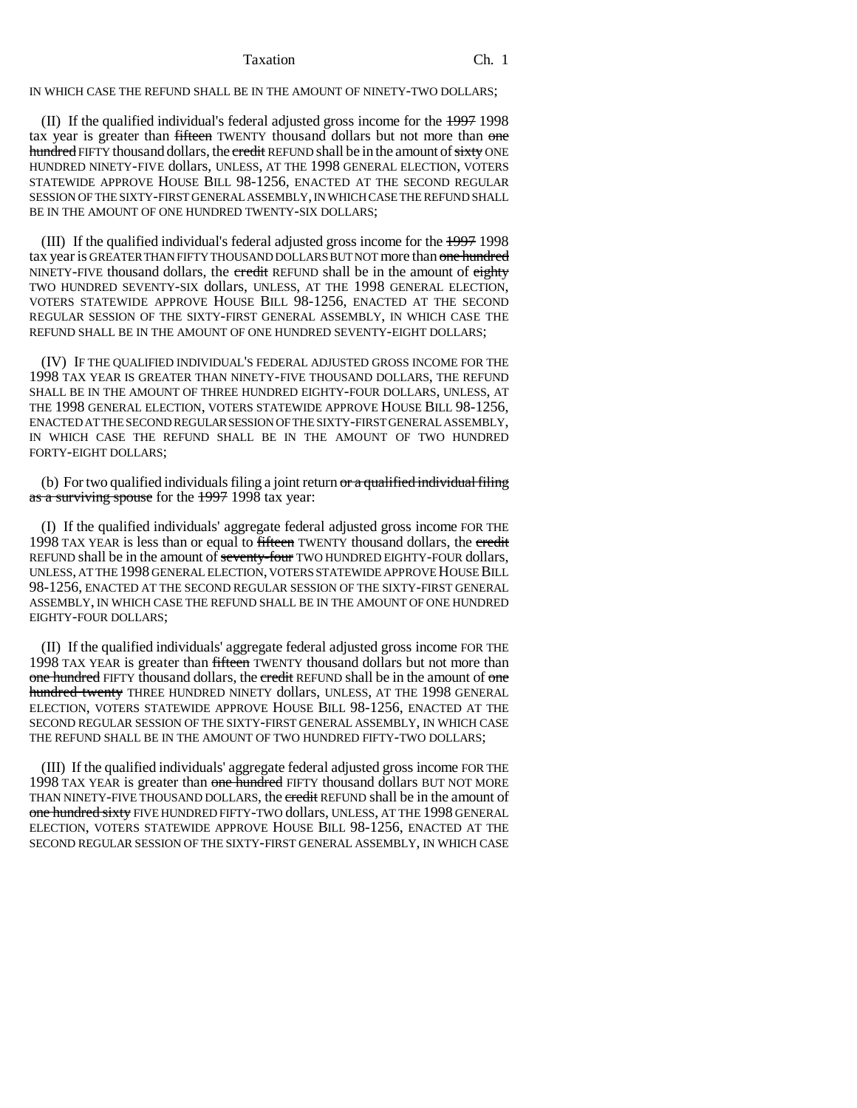IN WHICH CASE THE REFUND SHALL BE IN THE AMOUNT OF NINETY-TWO DOLLARS;

(II) If the qualified individual's federal adjusted gross income for the 1997 1998 tax year is greater than fifteen TWENTY thousand dollars but not more than one hundred FIFTY thousand dollars, the credit REFUND shall be in the amount of sixty ONE HUNDRED NINETY-FIVE dollars, UNLESS, AT THE 1998 GENERAL ELECTION, VOTERS STATEWIDE APPROVE HOUSE BILL 98-1256, ENACTED AT THE SECOND REGULAR SESSION OF THE SIXTY-FIRST GENERAL ASSEMBLY, IN WHICH CASE THE REFUND SHALL BE IN THE AMOUNT OF ONE HUNDRED TWENTY-SIX DOLLARS:

(III) If the qualified individual's federal adjusted gross income for the 1997 1998 tax year is GREATER THAN FIFTY THOUSAND DOLLARS BUT NOT more than one hundred NINETY-FIVE thousand dollars, the credit REFUND shall be in the amount of eighty TWO HUNDRED SEVENTY-SIX dollars, UNLESS, AT THE 1998 GENERAL ELECTION, VOTERS STATEWIDE APPROVE HOUSE BILL 98-1256, ENACTED AT THE SECOND REGULAR SESSION OF THE SIXTY-FIRST GENERAL ASSEMBLY, IN WHICH CASE THE REFUND SHALL BE IN THE AMOUNT OF ONE HUNDRED SEVENTY-EIGHT DOLLARS;

(IV) IF THE QUALIFIED INDIVIDUAL'S FEDERAL ADJUSTED GROSS INCOME FOR THE 1998 TAX YEAR IS GREATER THAN NINETY-FIVE THOUSAND DOLLARS, THE REFUND SHALL BE IN THE AMOUNT OF THREE HUNDRED EIGHTY-FOUR DOLLARS, UNLESS, AT THE 1998 GENERAL ELECTION, VOTERS STATEWIDE APPROVE HOUSE BILL 98-1256, ENACTED AT THE SECOND REGULAR SESSION OF THE SIXTY-FIRST GENERAL ASSEMBLY, IN WHICH CASE THE REFUND SHALL BE IN THE AMOUNT OF TWO HUNDRED FORTY-EIGHT DOLLARS;

(b) For two qualified individuals filing a joint return  $\sigma r$  a qualified individual filing as a surviving spouse for the 1997 1998 tax year:

(I) If the qualified individuals' aggregate federal adjusted gross income FOR THE 1998 TAX YEAR is less than or equal to fifteen TWENTY thousand dollars, the credit REFUND shall be in the amount of seventy-four TWO HUNDRED EIGHTY-FOUR dollars, UNLESS, AT THE 1998 GENERAL ELECTION, VOTERS STATEWIDE APPROVE HOUSE BILL 98-1256, ENACTED AT THE SECOND REGULAR SESSION OF THE SIXTY-FIRST GENERAL ASSEMBLY, IN WHICH CASE THE REFUND SHALL BE IN THE AMOUNT OF ONE HUNDRED EIGHTY-FOUR DOLLARS;

(II) If the qualified individuals' aggregate federal adjusted gross income FOR THE 1998 TAX YEAR is greater than fifteen TWENTY thousand dollars but not more than one hundred FIFTY thousand dollars, the credit REFUND shall be in the amount of one hundred twenty THREE HUNDRED NINETY dollars, UNLESS, AT THE 1998 GENERAL ELECTION, VOTERS STATEWIDE APPROVE HOUSE BILL 98-1256, ENACTED AT THE SECOND REGULAR SESSION OF THE SIXTY-FIRST GENERAL ASSEMBLY, IN WHICH CASE THE REFUND SHALL BE IN THE AMOUNT OF TWO HUNDRED FIFTY-TWO DOLLARS;

(III) If the qualified individuals' aggregate federal adjusted gross income FOR THE 1998 TAX YEAR is greater than one hundred FIFTY thousand dollars BUT NOT MORE THAN NINETY-FIVE THOUSAND DOLLARS, the credit REFUND shall be in the amount of one hundred sixty FIVE HUNDRED FIFTY-TWO dollars, UNLESS, AT THE 1998 GENERAL ELECTION, VOTERS STATEWIDE APPROVE HOUSE BILL 98-1256, ENACTED AT THE SECOND REGULAR SESSION OF THE SIXTY-FIRST GENERAL ASSEMBLY, IN WHICH CASE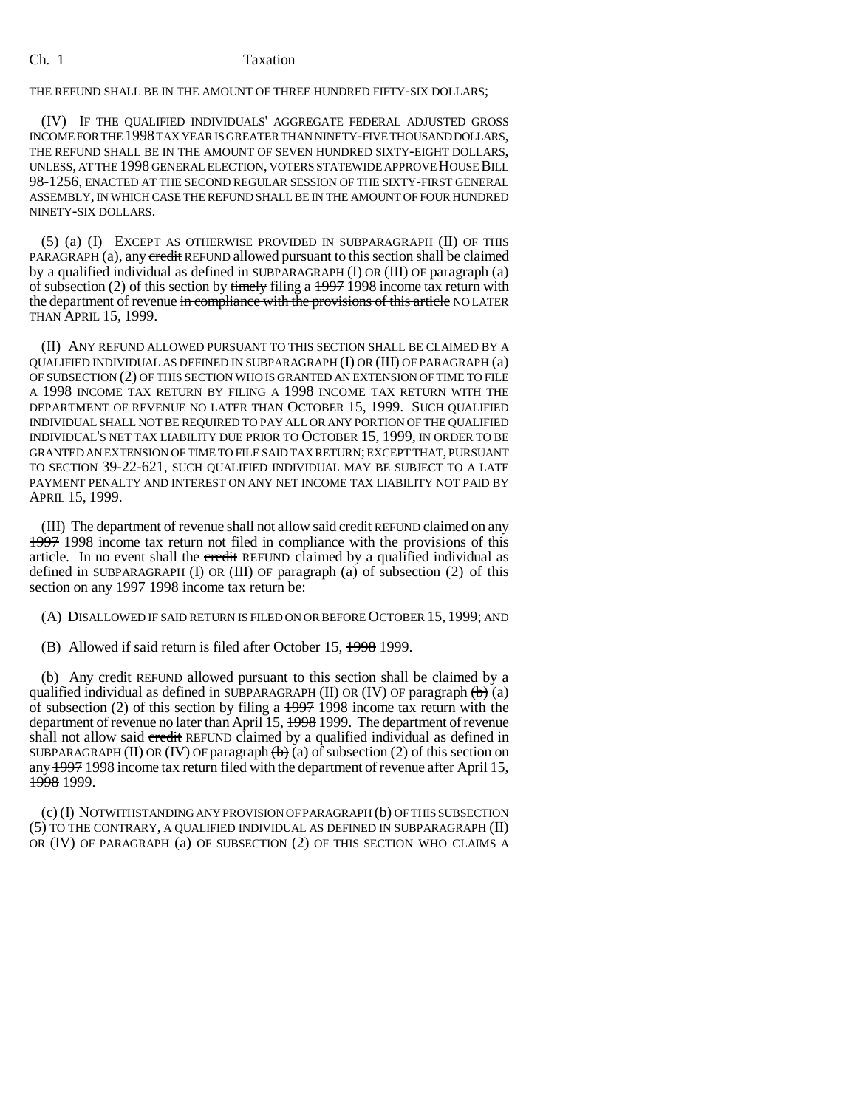THE REFUND SHALL BE IN THE AMOUNT OF THREE HUNDRED FIFTY-SIX DOLLARS;

(IV) IF THE QUALIFIED INDIVIDUALS' AGGREGATE FEDERAL ADJUSTED GROSS INCOME FOR THE 1998 TAX YEAR IS GREATER THAN NINETY-FIVE THOUSAND DOLLARS, THE REFUND SHALL BE IN THE AMOUNT OF SEVEN HUNDRED SIXTY-EIGHT DOLLARS, UNLESS, AT THE 1998 GENERAL ELECTION, VOTERS STATEWIDE APPROVE HOUSE BILL 98-1256, ENACTED AT THE SECOND REGULAR SESSION OF THE SIXTY-FIRST GENERAL ASSEMBLY, IN WHICH CASE THE REFUND SHALL BE IN THE AMOUNT OF FOUR HUNDRED NINETY-SIX DOLLARS.

(5) (a) (I) EXCEPT AS OTHERWISE PROVIDED IN SUBPARAGRAPH (II) OF THIS PARAGRAPH (a), any credit REFUND allowed pursuant to this section shall be claimed by a qualified individual as defined in SUBPARAGRAPH (I) OR (III) OF paragraph (a) of subsection (2) of this section by timely filing a  $1997$  1998 income tax return with the department of revenue in compliance with the provisions of this article NO LATER THAN APRIL 15, 1999.

(II) ANY REFUND ALLOWED PURSUANT TO THIS SECTION SHALL BE CLAIMED BY A QUALIFIED INDIVIDUAL AS DEFINED IN SUBPARAGRAPH (I) OR (III) OF PARAGRAPH (a) OF SUBSECTION (2) OF THIS SECTION WHO IS GRANTED AN EXTENSION OF TIME TO FILE A 1998 INCOME TAX RETURN BY FILING A 1998 INCOME TAX RETURN WITH THE DEPARTMENT OF REVENUE NO LATER THAN OCTOBER 15, 1999. SUCH QUALIFIED INDIVIDUAL SHALL NOT BE REQUIRED TO PAY ALL OR ANY PORTION OF THE QUALIFIED INDIVIDUAL'S NET TAX LIABILITY DUE PRIOR TO OCTOBER 15, 1999, IN ORDER TO BE GRANTED AN EXTENSION OF TIME TO FILE SAID TAX RETURN; EXCEPT THAT, PURSUANT TO SECTION 39-22-621, SUCH QUALIFIED INDIVIDUAL MAY BE SUBJECT TO A LATE PAYMENT PENALTY AND INTEREST ON ANY NET INCOME TAX LIABILITY NOT PAID BY APRIL 15, 1999.

(III) The department of revenue shall not allow said credit REFUND claimed on any 1997 1998 income tax return not filed in compliance with the provisions of this article. In no event shall the credit REFUND claimed by a qualified individual as defined in SUBPARAGRAPH (I) OR (III) OF paragraph (a) of subsection (2) of this section on any 1997 1998 income tax return be:

(A) DISALLOWED IF SAID RETURN IS FILED ON OR BEFORE OCTOBER 15, 1999; AND

(B) Allowed if said return is filed after October 15, 1998 1999.

(b) Any credit REFUND allowed pursuant to this section shall be claimed by a qualified individual as defined in SUBPARAGRAPH (II) OR (IV) OF paragraph  $\left(\frac{b}{c}\right)$  (a) of subsection (2) of this section by filing a 1997 1998 income tax return with the department of revenue no later than April 15, 1998 1999. The department of revenue shall not allow said credit REFUND claimed by a qualified individual as defined in SUBPARAGRAPH (II) OR (IV) OF paragraph  $\leftrightarrow$  (a) of subsection (2) of this section on any 1997 1998 income tax return filed with the department of revenue after April 15, 1998 1999.

(c) (I) NOTWITHSTANDING ANY PROVISION OF PARAGRAPH (b) OF THIS SUBSECTION (5) TO THE CONTRARY, A QUALIFIED INDIVIDUAL AS DEFINED IN SUBPARAGRAPH (II) OR (IV) OF PARAGRAPH (a) OF SUBSECTION (2) OF THIS SECTION WHO CLAIMS A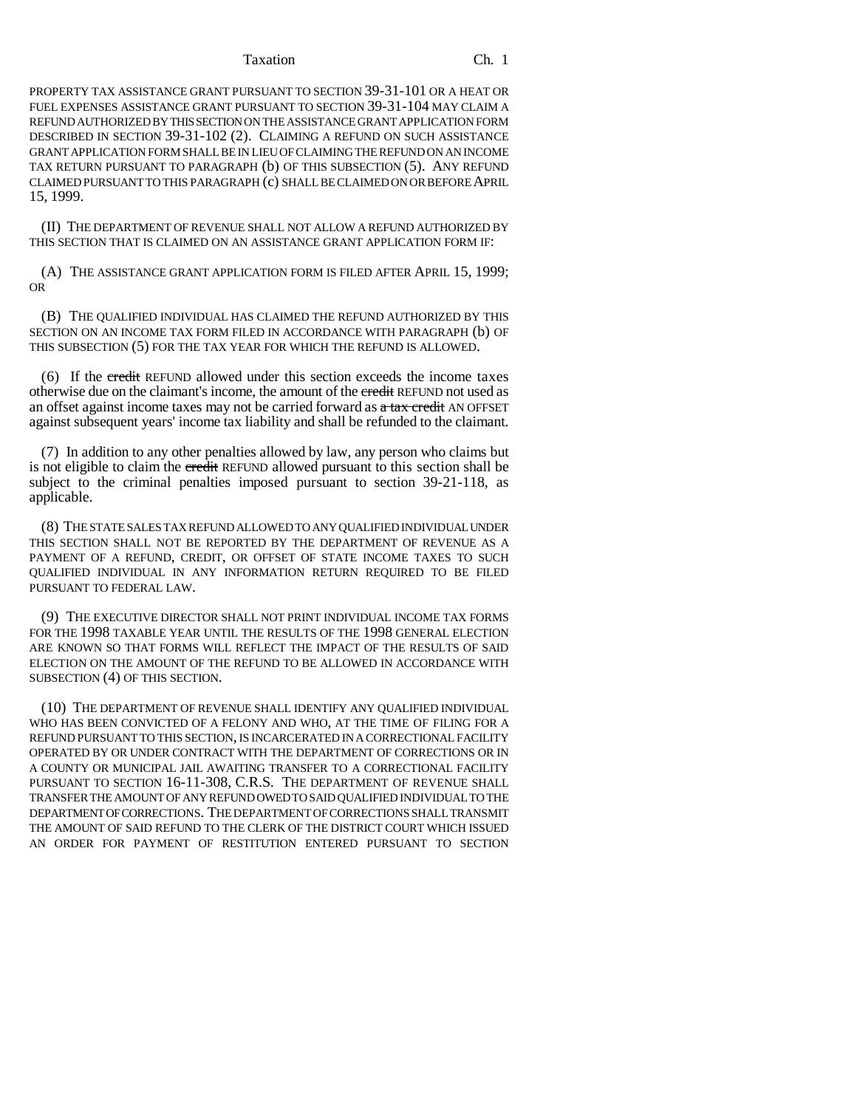PROPERTY TAX ASSISTANCE GRANT PURSUANT TO SECTION 39-31-101 OR A HEAT OR FUEL EXPENSES ASSISTANCE GRANT PURSUANT TO SECTION 39-31-104 MAY CLAIM A REFUND AUTHORIZED BY THIS SECTION ON THE ASSISTANCE GRANT APPLICATION FORM DESCRIBED IN SECTION 39-31-102 (2). CLAIMING A REFUND ON SUCH ASSISTANCE GRANT APPLICATION FORM SHALL BE IN LIEU OF CLAIMING THE REFUND ON AN INCOME TAX RETURN PURSUANT TO PARAGRAPH (b) OF THIS SUBSECTION (5). ANY REFUND CLAIMED PURSUANT TO THIS PARAGRAPH (c) SHALL BE CLAIMED ON OR BEFORE APRIL 15, 1999.

(II) THE DEPARTMENT OF REVENUE SHALL NOT ALLOW A REFUND AUTHORIZED BY THIS SECTION THAT IS CLAIMED ON AN ASSISTANCE GRANT APPLICATION FORM IF:

(A) THE ASSISTANCE GRANT APPLICATION FORM IS FILED AFTER APRIL 15, 1999; OR

(B) THE QUALIFIED INDIVIDUAL HAS CLAIMED THE REFUND AUTHORIZED BY THIS SECTION ON AN INCOME TAX FORM FILED IN ACCORDANCE WITH PARAGRAPH (b) OF THIS SUBSECTION (5) FOR THE TAX YEAR FOR WHICH THE REFUND IS ALLOWED.

(6) If the credit REFUND allowed under this section exceeds the income taxes otherwise due on the claimant's income, the amount of the credit REFUND not used as an offset against income taxes may not be carried forward as  $\alpha$  tax credit AN OFFSET against subsequent years' income tax liability and shall be refunded to the claimant.

(7) In addition to any other penalties allowed by law, any person who claims but is not eligible to claim the credit REFUND allowed pursuant to this section shall be subject to the criminal penalties imposed pursuant to section 39-21-118, as applicable.

(8) THE STATE SALES TAX REFUND ALLOWED TO ANY QUALIFIED INDIVIDUAL UNDER THIS SECTION SHALL NOT BE REPORTED BY THE DEPARTMENT OF REVENUE AS A PAYMENT OF A REFUND, CREDIT, OR OFFSET OF STATE INCOME TAXES TO SUCH QUALIFIED INDIVIDUAL IN ANY INFORMATION RETURN REQUIRED TO BE FILED PURSUANT TO FEDERAL LAW.

(9) THE EXECUTIVE DIRECTOR SHALL NOT PRINT INDIVIDUAL INCOME TAX FORMS FOR THE 1998 TAXABLE YEAR UNTIL THE RESULTS OF THE 1998 GENERAL ELECTION ARE KNOWN SO THAT FORMS WILL REFLECT THE IMPACT OF THE RESULTS OF SAID ELECTION ON THE AMOUNT OF THE REFUND TO BE ALLOWED IN ACCORDANCE WITH SUBSECTION (4) OF THIS SECTION.

(10) THE DEPARTMENT OF REVENUE SHALL IDENTIFY ANY QUALIFIED INDIVIDUAL WHO HAS BEEN CONVICTED OF A FELONY AND WHO, AT THE TIME OF FILING FOR A REFUND PURSUANT TO THIS SECTION, IS INCARCERATED IN A CORRECTIONAL FACILITY OPERATED BY OR UNDER CONTRACT WITH THE DEPARTMENT OF CORRECTIONS OR IN A COUNTY OR MUNICIPAL JAIL AWAITING TRANSFER TO A CORRECTIONAL FACILITY PURSUANT TO SECTION 16-11-308, C.R.S. THE DEPARTMENT OF REVENUE SHALL TRANSFER THE AMOUNT OF ANY REFUND OWED TO SAID QUALIFIED INDIVIDUAL TO THE DEPARTMENT OF CORRECTIONS. THE DEPARTMENT OF CORRECTIONS SHALL TRANSMIT THE AMOUNT OF SAID REFUND TO THE CLERK OF THE DISTRICT COURT WHICH ISSUED AN ORDER FOR PAYMENT OF RESTITUTION ENTERED PURSUANT TO SECTION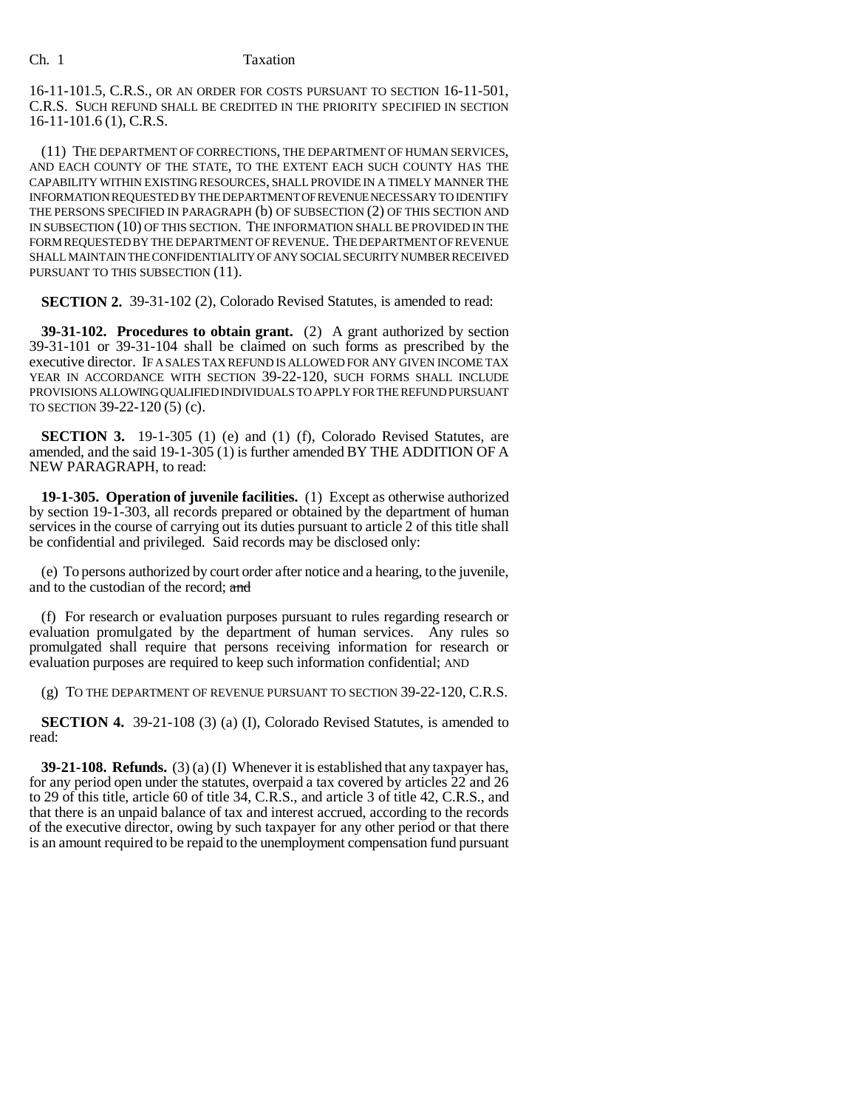16-11-101.5, C.R.S., OR AN ORDER FOR COSTS PURSUANT TO SECTION 16-11-501, C.R.S. SUCH REFUND SHALL BE CREDITED IN THE PRIORITY SPECIFIED IN SECTION 16-11-101.6 (1), C.R.S.

(11) THE DEPARTMENT OF CORRECTIONS, THE DEPARTMENT OF HUMAN SERVICES, AND EACH COUNTY OF THE STATE, TO THE EXTENT EACH SUCH COUNTY HAS THE CAPABILITY WITHIN EXISTING RESOURCES, SHALL PROVIDE IN A TIMELY MANNER THE INFORMATION REQUESTED BY THE DEPARTMENT OF REVENUE NECESSARY TO IDENTIFY THE PERSONS SPECIFIED IN PARAGRAPH (b) OF SUBSECTION (2) OF THIS SECTION AND IN SUBSECTION (10) OF THIS SECTION. THE INFORMATION SHALL BE PROVIDED IN THE FORM REQUESTED BY THE DEPARTMENT OF REVENUE. THE DEPARTMENT OF REVENUE SHALL MAINTAIN THE CONFIDENTIALITY OF ANY SOCIAL SECURITY NUMBER RECEIVED PURSUANT TO THIS SUBSECTION (11).

**SECTION 2.** 39-31-102 (2), Colorado Revised Statutes, is amended to read:

**39-31-102. Procedures to obtain grant.** (2) A grant authorized by section 39-31-101 or 39-31-104 shall be claimed on such forms as prescribed by the executive director. IF A SALES TAX REFUND IS ALLOWED FOR ANY GIVEN INCOME TAX YEAR IN ACCORDANCE WITH SECTION 39-22-120, SUCH FORMS SHALL INCLUDE PROVISIONS ALLOWING QUALIFIED INDIVIDUALS TO APPLY FOR THE REFUND PURSUANT TO SECTION 39-22-120 (5) (c).

**SECTION 3.** 19-1-305 (1) (e) and (1) (f), Colorado Revised Statutes, are amended, and the said 19-1-305 (1) is further amended BY THE ADDITION OF A NEW PARAGRAPH, to read:

**19-1-305. Operation of juvenile facilities.** (1) Except as otherwise authorized by section 19-1-303, all records prepared or obtained by the department of human services in the course of carrying out its duties pursuant to article 2 of this title shall be confidential and privileged. Said records may be disclosed only:

(e) To persons authorized by court order after notice and a hearing, to the juvenile, and to the custodian of the record; and

(f) For research or evaluation purposes pursuant to rules regarding research or evaluation promulgated by the department of human services. Any rules so promulgated shall require that persons receiving information for research or evaluation purposes are required to keep such information confidential; AND

(g) TO THE DEPARTMENT OF REVENUE PURSUANT TO SECTION 39-22-120, C.R.S.

**SECTION 4.** 39-21-108 (3) (a) (I), Colorado Revised Statutes, is amended to read:

**39-21-108. Refunds.** (3) (a) (I) Whenever it is established that any taxpayer has, for any period open under the statutes, overpaid a tax covered by articles 22 and 26 to 29 of this title, article 60 of title 34, C.R.S., and article 3 of title 42, C.R.S., and that there is an unpaid balance of tax and interest accrued, according to the records of the executive director, owing by such taxpayer for any other period or that there is an amount required to be repaid to the unemployment compensation fund pursuant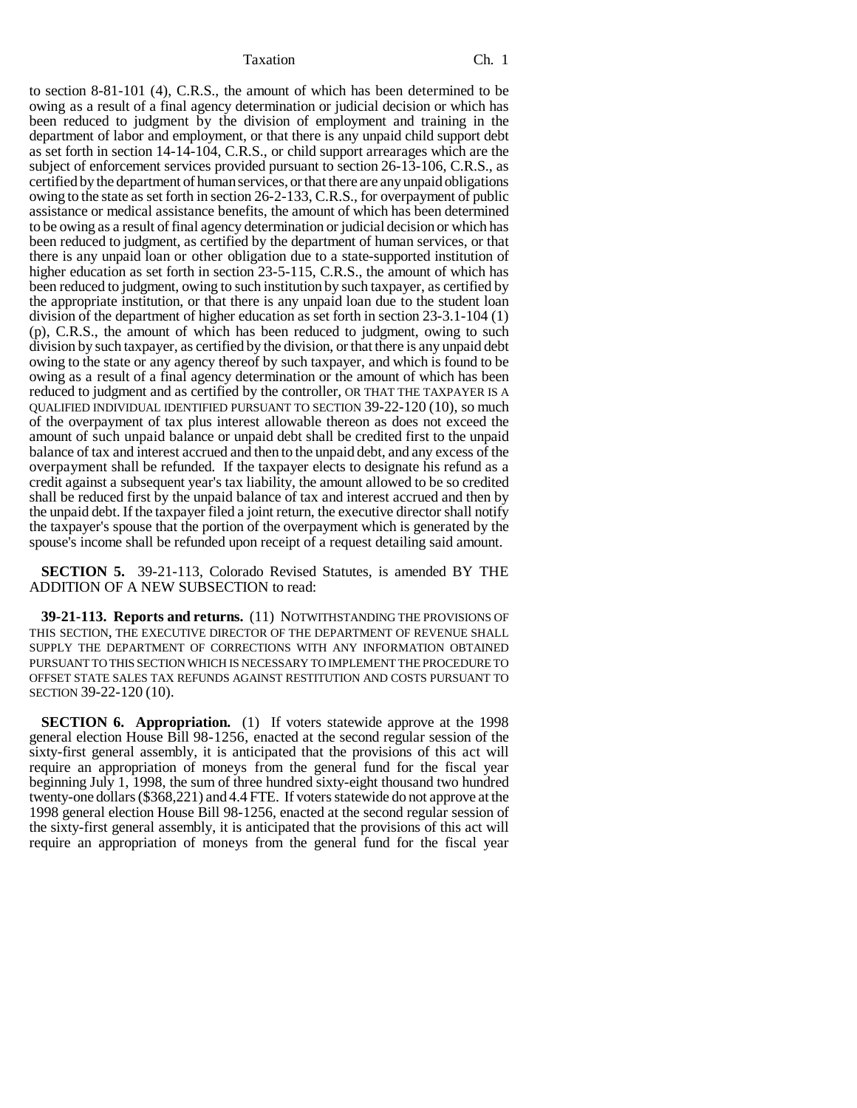to section 8-81-101 (4), C.R.S., the amount of which has been determined to be owing as a result of a final agency determination or judicial decision or which has been reduced to judgment by the division of employment and training in the department of labor and employment, or that there is any unpaid child support debt as set forth in section 14-14-104, C.R.S., or child support arrearages which are the subject of enforcement services provided pursuant to section 26-13-106, C.R.S., as certified by the department of human services, or that there are any unpaid obligations owing to the state as set forth in section 26-2-133, C.R.S., for overpayment of public assistance or medical assistance benefits, the amount of which has been determined to be owing as a result of final agency determination or judicial decision or which has been reduced to judgment, as certified by the department of human services, or that there is any unpaid loan or other obligation due to a state-supported institution of higher education as set forth in section 23-5-115, C.R.S., the amount of which has been reduced to judgment, owing to such institution by such taxpayer, as certified by the appropriate institution, or that there is any unpaid loan due to the student loan division of the department of higher education as set forth in section 23-3.1-104 (1) (p), C.R.S., the amount of which has been reduced to judgment, owing to such division by such taxpayer, as certified by the division, or that there is any unpaid debt owing to the state or any agency thereof by such taxpayer, and which is found to be owing as a result of a final agency determination or the amount of which has been reduced to judgment and as certified by the controller, OR THAT THE TAXPAYER IS A QUALIFIED INDIVIDUAL IDENTIFIED PURSUANT TO SECTION 39-22-120 (10), so much of the overpayment of tax plus interest allowable thereon as does not exceed the amount of such unpaid balance or unpaid debt shall be credited first to the unpaid balance of tax and interest accrued and then to the unpaid debt, and any excess of the overpayment shall be refunded. If the taxpayer elects to designate his refund as a credit against a subsequent year's tax liability, the amount allowed to be so credited shall be reduced first by the unpaid balance of tax and interest accrued and then by the unpaid debt. If the taxpayer filed a joint return, the executive director shall notify the taxpayer's spouse that the portion of the overpayment which is generated by the spouse's income shall be refunded upon receipt of a request detailing said amount.

**SECTION 5.** 39-21-113, Colorado Revised Statutes, is amended BY THE ADDITION OF A NEW SUBSECTION to read:

**39-21-113. Reports and returns.** (11) NOTWITHSTANDING THE PROVISIONS OF THIS SECTION, THE EXECUTIVE DIRECTOR OF THE DEPARTMENT OF REVENUE SHALL SUPPLY THE DEPARTMENT OF CORRECTIONS WITH ANY INFORMATION OBTAINED PURSUANT TO THIS SECTION WHICH IS NECESSARY TO IMPLEMENT THE PROCEDURE TO OFFSET STATE SALES TAX REFUNDS AGAINST RESTITUTION AND COSTS PURSUANT TO SECTION 39-22-120 (10).

**SECTION 6. Appropriation.** (1) If voters statewide approve at the 1998 general election House Bill 98-1256, enacted at the second regular session of the sixty-first general assembly, it is anticipated that the provisions of this act will require an appropriation of moneys from the general fund for the fiscal year beginning July 1, 1998, the sum of three hundred sixty-eight thousand two hundred twenty-one dollars (\$368,221) and 4.4 FTE. If voters statewide do not approve at the 1998 general election House Bill 98-1256, enacted at the second regular session of the sixty-first general assembly, it is anticipated that the provisions of this act will require an appropriation of moneys from the general fund for the fiscal year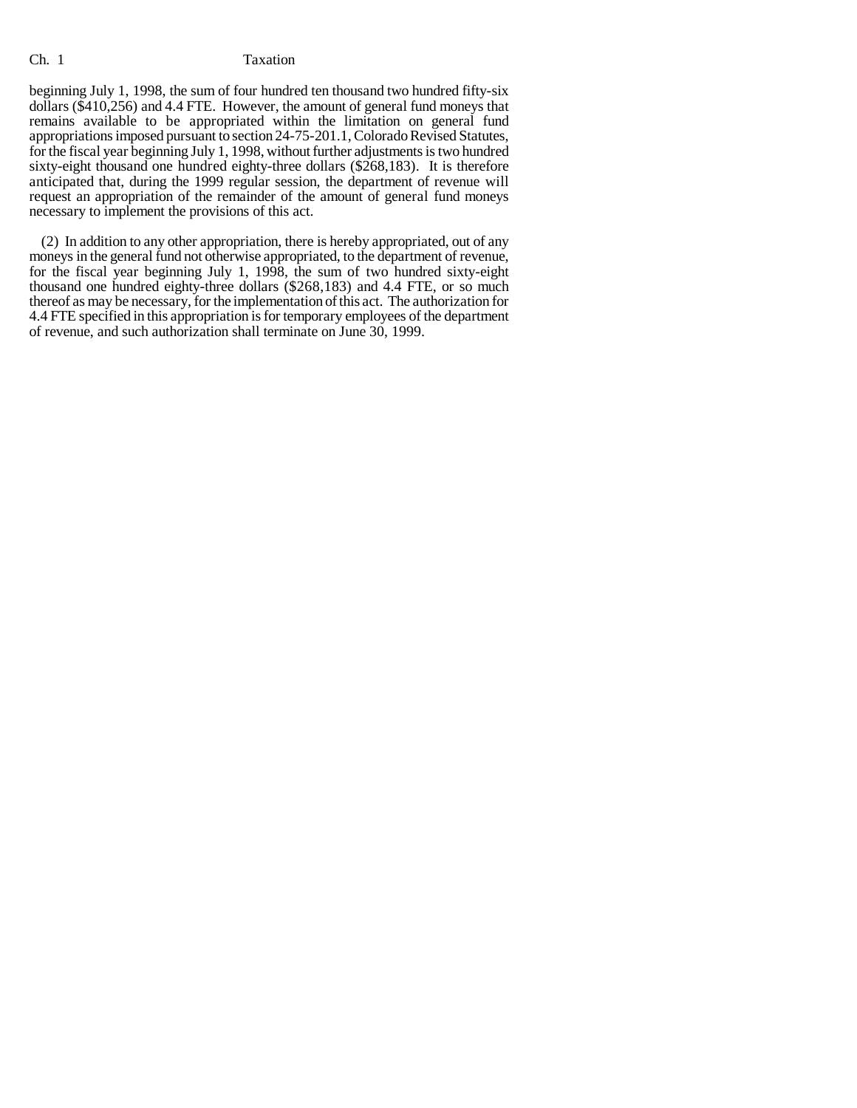beginning July 1, 1998, the sum of four hundred ten thousand two hundred fifty-six dollars (\$410,256) and 4.4 FTE. However, the amount of general fund moneys that remains available to be appropriated within the limitation on general fund appropriations imposed pursuant to section 24-75-201.1, Colorado Revised Statutes, for the fiscal year beginning July 1, 1998, without further adjustments is two hundred sixty-eight thousand one hundred eighty-three dollars (\$268,183). It is therefore anticipated that, during the 1999 regular session, the department of revenue will request an appropriation of the remainder of the amount of general fund moneys necessary to implement the provisions of this act.

(2) In addition to any other appropriation, there is hereby appropriated, out of any moneys in the general fund not otherwise appropriated, to the department of revenue, for the fiscal year beginning July 1, 1998, the sum of two hundred sixty-eight thousand one hundred eighty-three dollars (\$268,183) and 4.4 FTE, or so much thereof as may be necessary, for the implementation of this act. The authorization for 4.4 FTE specified in this appropriation is for temporary employees of the department of revenue, and such authorization shall terminate on June 30, 1999.